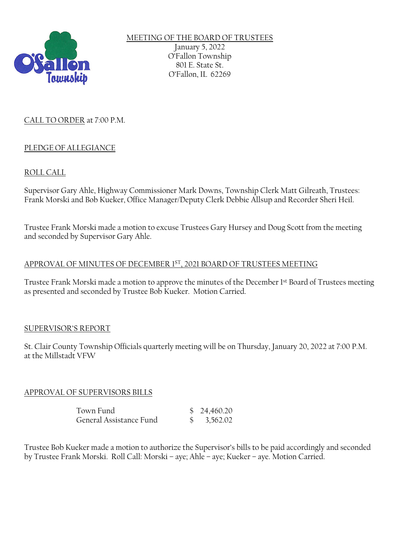

MEETING OF THE BOARD OF TRUSTEES January 5, 2022 O'Fallon Township 801 E. State St. O'Fallon, IL 62269

## CALL TO ORDER at 7:00 P.M.

## PLEDGE OF ALLEGIANCE

# ROLL CALL

Supervisor Gary Ahle, Highway Commissioner Mark Downs, Township Clerk Matt Gilreath, Trustees: Frank Morski and Bob Kueker, Office Manager/Deputy Clerk Debbie Allsup and Recorder Sheri Heil.

Trustee Frank Morski made a motion to excuse Trustees Gary Hursey and Doug Scott from the meeting and seconded by Supervisor Gary Ahle.

### APPROVAL OF MINUTES OF DECEMBER 1ST, 2021 BOARD OF TRUSTEES MEETING

Trustee Frank Morski made a motion to approve the minutes of the December 1st Board of Trustees meeting as presented and seconded by Trustee Bob Kueker. Motion Carried.

### SUPERVISOR'S REPORT

St. Clair County Township Officials quarterly meeting will be on Thursday, January 20, 2022 at 7:00 P.M. at the Millstadt VFW

## APPROVAL OF SUPERVISORS BILLS

| Town Fund               | \$24,460.20            |
|-------------------------|------------------------|
| General Assistance Fund | $\frac{$}{5}$ 3,562.02 |

Trustee Bob Kueker made a motion to authorize the Supervisor's bills to be paid accordingly and seconded by Trustee Frank Morski. Roll Call: Morski – aye; Ahle – aye; Kueker – aye. Motion Carried.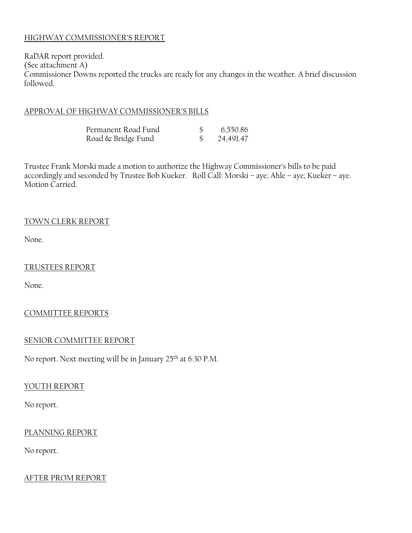### HIGHWAY COMMISSIONER'S REPORT

RaDAR report provided. (See attachment A) Commissioner Downs reported the trucks are ready for any changes in the weather. A brief discussion followed.

#### APPROVAL OF HIGHWAY COMMISSIONER'S BILLS

| Permanent Road Fund | 6,550.86  |
|---------------------|-----------|
| Road & Bridge Fund  | 24,491.47 |

Trustee Frank Morski made a motion to authorize the Highway Commissioner's bills to be paid accordingly and seconded by Trustee Bob Kueker. Roll Call: Morski – aye; Ahle – aye; Kueker – aye. Motion Carried.

#### TOWN CLERK REPORT

None.

#### TRUSTEES REPORT

None.

### COMMITTEE REPORTS

#### SENIOR COMMITTEE REPORT

No report. Next meeting will be in January 25th at 6:30 P.M.

#### YOUTH REPORT

No report.

#### PLANNING REPORT

No report.

#### AFTER PROM REPORT